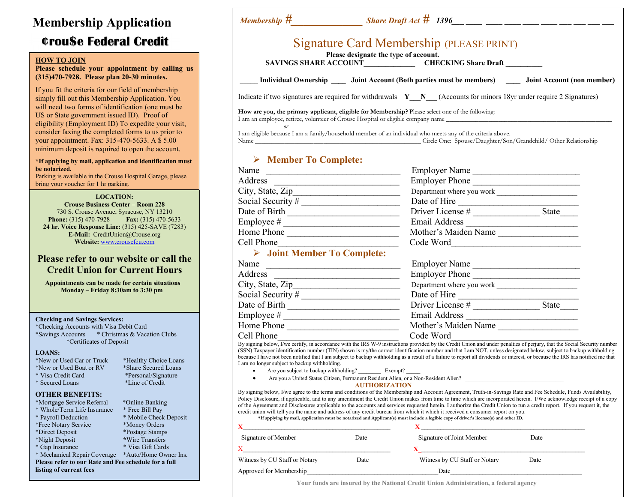# Membership Application ¢rou\$e Federal Credit

#### HOW TO JOIN

Please schedule your appointment by calling us (315)470-7928. Please plan 20-30 minutes.

If you fit the criteria for our field of membership simply fill out this Membership Application. You will need two forms of identification (one must be US or State government issued ID). Proof of eligibility (Employment ID) To expedite your visit, consider faxing the completed forms to us prior to your appointment. Fax: 315-470-5633. A \$ 5.00 minimum deposit is required to open the account.

#### \*If applying by mail, application and identification must be notarized.

Parking is available in the Crouse Hospital Garage, please bring your voucher for 1 hr parking.

LOCATION:

Crouse Business Center – Room 228 730 S. Crouse Avenue, Syracuse, NY 13210 **Phone:** (315) 470-7928 **Fax:** (315) 470-5633 24 hr. Voice Response Line: (315) 425-SAVE (7283) E-Mail: CreditUnion@Crouse.org Website: www.crousefcu.com

## Please refer to our website or call the Credit Union for Current Hours

 Appointments can be made for certain situations Monday – Friday 8:30am to 3:30 pm

#### Checking and Savings Services:

\*Checking Accounts with Visa Debit Card \*Savings Accounts \* Christmas & Vacation Clubs \*Certificates of Deposit

\* Personal/Signature<br>\*Line of Credit

\* Mobile Check Deposit<br>\* Money Orders

\* Visa Gift Cards

#### LOANS:

- \*New or Used Car or Truck \*Healthy Choice Loans
- \*New or Used Boat or RV \*Share Secured Loans<br>\* Visa Credit Card \* \* \* Personal/Signature
- $*$  Secured Loans
- 

#### OTHER BENEFITS:

- \*Mortgage Service Referral \*Online Banking
- \* Whole/Term Life Insurance \* Free Bill Pay
- \*Free Notary Service
- \*Direct Deposit \*Postage Stamps
- 
- \*Night Deposit<br>
\* Gap Insurance<br>
\* Visa Gift Cards
- \* Mechanical Repair Coverage \*Auto/Home Owner Ins.

Please refer to our Rate and Fee schedule for a full listing of current fees

| Membership $\#$ Share Draft Act $\#$ 1396 __ _ _ _ _ _ _ _ _ _ _ _ _ _                                                                                                               |                                                 |  |                                                                                                             |
|--------------------------------------------------------------------------------------------------------------------------------------------------------------------------------------|-------------------------------------------------|--|-------------------------------------------------------------------------------------------------------------|
|                                                                                                                                                                                      | <b>Signature Card Membership (PLEASE PRINT)</b> |  |                                                                                                             |
|                                                                                                                                                                                      | Please designate the type of account.           |  |                                                                                                             |
|                                                                                                                                                                                      | SAVINGS SHARE ACCOUNT CHECKING Share Draft      |  |                                                                                                             |
| Indicate if two signatures are required for withdrawals $Y \ N$ (Accounts for minors 18yr under require 2 Signatures)                                                                |                                                 |  | Individual Ownership ______ Joint Account (Both parties must be members) _______ Joint Account (non member) |
| How are you, the primary applicant, eligible for Membership? Please select one of the following:<br>I am an employee, retiree, volunteer of Crouse Hospital or eligible company name |                                                 |  |                                                                                                             |
| or                                                                                                                                                                                   |                                                 |  |                                                                                                             |
| I am eligible because I am a family/household member of an individual who meets any of the criteria above.                                                                           |                                                 |  |                                                                                                             |
| Name                                                                                                                                                                                 |                                                 |  | Circle One: Spouse/Daughter/Son/Grandchild/ Other Relationship                                              |

## Member To Complete:

| Name                                       | <b>Employer Name</b>      |       |
|--------------------------------------------|---------------------------|-------|
| Address                                    | <b>Employer Phone</b>     |       |
| City, State, Zip                           | Department where you work |       |
| Social Security #                          | Date of Hire              |       |
| Date of Birth                              | Driver License #          | State |
| Employee #                                 | <b>Email Address</b>      |       |
| Home Phone                                 | Mother's Maiden Name      |       |
| Cell Phone                                 | Code Word                 |       |
| $\triangleright$ Joint Member To Complete: |                           |       |
| Name                                       | <b>Employer Name</b>      |       |
| .                                          |                           |       |

| Name              | <b>Employer Name</b>      |       |
|-------------------|---------------------------|-------|
| Address           | <b>Employer Phone</b>     |       |
| City, State, Zip  | Department where you work |       |
| Social Security # | Date of Hire              |       |
| Date of Birth     | Driver License #          | State |
| Employee $#$      | Email Address             |       |
| Home Phone        | Mother's Maiden Name      |       |
| Cell Phone        | Code Word                 |       |

By signing below, I/we certify, in accordance with the IRS W-9 instructions provided by the Credit Union and under penalties of perjury, that the Social Security number (SSN) Taxpayer identification number (TIN) shown is my/the correct identification number and that I am NOT, unless designated below, subject to backup withholding because I have not been notified that I am subject to backup withholding as a result of a failure to report all dividends or interest, or because the IRS has notified me that I am no longer subject to backup withholding.

- Are you subject to backup withholding? Exempt?
- Are you a United States Citizen, Permanent Resident Alien, or a Non-Resident Alien? \_\_\_\_\_\_\_\_\_\_\_\_\_\_\_\_\_\_\_\_\_\_\_\_\_\_\_\_\_\_\_\_\_\_\_

#### AUTHORIZATION

By signing below, I/we agree to the terms and conditions of the Membership and Account Agreement, Truth-in-Savings Rate and Fee Schedule, Funds Availability, Policy Disclosure, if applicable, and to any amendment the Credit Union makes from time to time which are incorporated herein. I/We acknowledge receipt of a copy of the Agreement and Disclosures applicable to the accounts and services requested herein. I authorize the Credit Union to run a credit report. If you request it, the credit union will tell you the name and address of any credit bureau from which it which it received a consumer report on you.

\*If applying by mail, application must be notarized and Applicant(s) must include a legible copy of driver's license(s) and other ID.

| Signature of Member           | Date | Signature of Joint Member     | Date |
|-------------------------------|------|-------------------------------|------|
|                               |      |                               |      |
| Witness by CU Staff or Notary | Date | Witness by CU Staff or Notary | Date |
| Approved for Membership       |      | Date                          |      |

Your funds are insured by the National Credit Union Administration, a federal agency